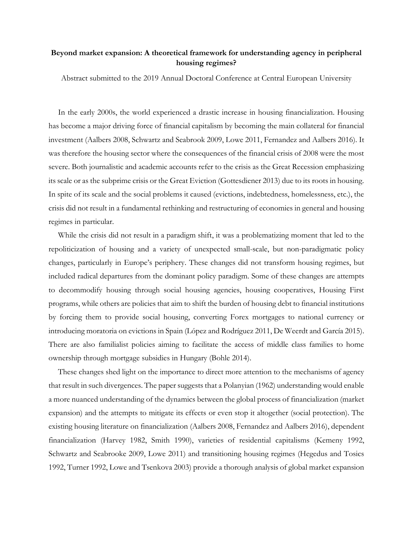## **Beyond market expansion: A theoretical framework for understanding agency in peripheral housing regimes?**

Abstract submitted to the 2019 Annual Doctoral Conference at Central European University

In the early 2000s, the world experienced a drastic increase in housing financialization. Housing has become a major driving force of financial capitalism by becoming the main collateral for financial investment (Aalbers 2008, Schwartz and Seabrook 2009, Lowe 2011, Fernandez and Aalbers 2016). It was therefore the housing sector where the consequences of the financial crisis of 2008 were the most severe. Both journalistic and academic accounts refer to the crisis as the Great Recession emphasizing its scale or as the subprime crisis or the Great Eviction (Gottesdiener 2013) due to its roots in housing. In spite of its scale and the social problems it caused (evictions, indebtedness, homelessness, etc.), the crisis did not result in a fundamental rethinking and restructuring of economies in general and housing regimes in particular.

While the crisis did not result in a paradigm shift, it was a problematizing moment that led to the repoliticization of housing and a variety of unexpected small-scale, but non-paradigmatic policy changes, particularly in Europe's periphery. These changes did not transform housing regimes, but included radical departures from the dominant policy paradigm. Some of these changes are attempts to decommodify housing through social housing agencies, housing cooperatives, Housing First programs, while others are policies that aim to shift the burden of housing debt to financial institutions by forcing them to provide social housing, converting Forex mortgages to national currency or introducing moratoria on evictions in Spain (López and Rodríguez 2011, De Weerdt and García 2015). There are also familialist policies aiming to facilitate the access of middle class families to home ownership through mortgage subsidies in Hungary (Bohle 2014).

These changes shed light on the importance to direct more attention to the mechanisms of agency that result in such divergences. The paper suggests that a Polanyian (1962) understanding would enable a more nuanced understanding of the dynamics between the global process of financialization (market expansion) and the attempts to mitigate its effects or even stop it altogether (social protection). The existing housing literature on financialization (Aalbers 2008, Fernandez and Aalbers 2016), dependent financialization (Harvey 1982, Smith 1990), varieties of residential capitalisms (Kemeny 1992, Schwartz and Seabrooke 2009, Lowe 2011) and transitioning housing regimes (Hegedus and Tosics 1992, Turner 1992, Lowe and Tsenkova 2003) provide a thorough analysis of global market expansion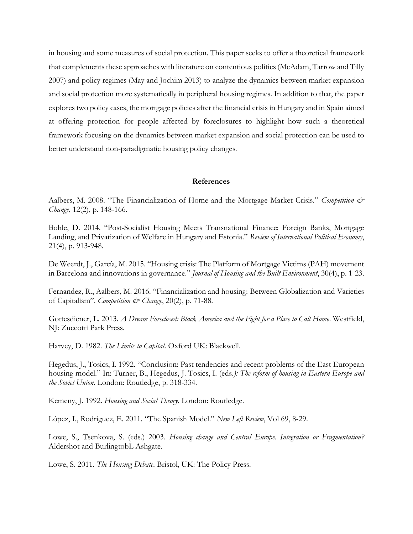in housing and some measures of social protection. This paper seeks to offer a theoretical framework that complements these approaches with literature on contentious politics (McAdam, Tarrow and Tilly 2007) and policy regimes (May and Jochim 2013) to analyze the dynamics between market expansion and social protection more systematically in peripheral housing regimes. In addition to that, the paper explores two policy cases, the mortgage policies after the financial crisis in Hungary and in Spain aimed at offering protection for people affected by foreclosures to highlight how such a theoretical framework focusing on the dynamics between market expansion and social protection can be used to better understand non-paradigmatic housing policy changes.

## **References**

Aalbers, M. 2008. "The Financialization of Home and the Mortgage Market Crisis." *Competition & Change*, 12(2), p. 148-166.

Bohle, D. 2014. "Post-Socialist Housing Meets Transnational Finance: Foreign Banks, Mortgage Landing, and Privatization of Welfare in Hungary and Estonia." *Review of International Political Economy*, 21(4), p. 913-948.

De Weerdt, J., García, M. 2015. "Housing crisis: The Platform of Mortgage Victims (PAH) movement in Barcelona and innovations in governance." *Journal of Housing and the Built Environment*, 30(4), p. 1-23.

Fernandez, R., Aalbers, M. 2016. "Financialization and housing: Between Globalization and Varieties of Capitalism". *Competition & Change*, 20(2), p. 71-88.

Gottesdiener, L. 2013. *A Dream Foreclosed: Black America and the Fight for a Place to Call Home*. Westfield, NJ: Zuccotti Park Press.

Harvey, D. 1982. *The Limits to Capital*. Oxford UK: Blackwell.

Hegedus, J., Tosics, I. 1992. "Conclusion: Past tendencies and recent problems of the East European housing model." In: Turner, B., Hegedus, J. Tosics, I. (eds*.): The reform of housing in Eastern Europe and the Soviet Union*. London: Routledge, p. 318-334.

Kemeny, J. 1992. *Housing and Social Theory*. London: Routledge.

López, I., Rodríguez, E. 2011. "The Spanish Model." *New Left Review*, Vol 69, 8-29.

Lowe, S., Tsenkova, S. (eds.) 2003. *Housing change and Central Europe. Integration or Fragmentation?* Aldershot and BurlingtobL Ashgate.

Lowe, S. 2011. *The Housing Debate*. Bristol, UK: The Policy Press.